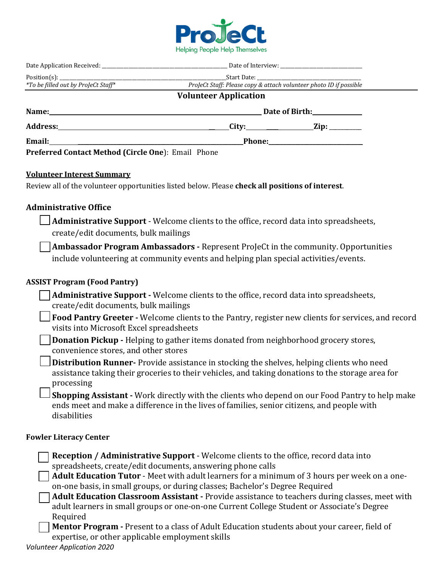

| Position(s):                                       |                                                                                                               |  |  |
|----------------------------------------------------|---------------------------------------------------------------------------------------------------------------|--|--|
| *To be filled out by ProJeCt Staff*                | ProJeCt Staff: Please copy & attach volunteer photo ID if possible                                            |  |  |
|                                                    | <b>Volunteer Application</b>                                                                                  |  |  |
|                                                    | Date of Birth: <u>______________</u>                                                                          |  |  |
|                                                    |                                                                                                               |  |  |
|                                                    | Phone: 2008 2010 2020 2020 2021 2021 2022 2021 2022 2021 2022 2022 2022 2022 2022 2022 2022 2022 2022 2023 20 |  |  |
| Preferred Contact Method (Circle One): Email Phone |                                                                                                               |  |  |

### **Volunteer Interest Summary**

Review all of the volunteer opportunities listed below. Please **check all positions of interest**.

# **Administrative Office**

**Administrative Support** - Welcome clients to the office, record data into spreadsheets, create/edit documents, bulk mailings

**Ambassador Program Ambassadors -** Represent ProJeCt in the community. Opportunities include volunteering at community events and helping plan special activities/events.

### **ASSIST Program (Food Pantry)**

**Administrative Support -** Welcome clients to the office, record data into spreadsheets, create/edit documents, bulk mailings

**Food Pantry Greeter -** Welcome clients to the Pantry, register new clients for services, and record visits into Microsoft Excel spreadsheets

**Donation Pickup -** Helping to gather items donated from neighborhood grocery stores, convenience stores, and other stores

**Distribution Runner-** Provide assistance in stocking the shelves, helping clients who need assistance taking their groceries to their vehicles, and taking donations to the storage area for processing

**Shopping Assistant -** Work directly with the clients who depend on our Food Pantry to help make ends meet and make a difference in the lives of families, senior citizens, and people with disabilities

### **Fowler Literacy Center**

| Reception / Administrative Support - Welcome clients to the office, record data into           |
|------------------------------------------------------------------------------------------------|
| spreadsheets, create/edit documents, answering phone calls                                     |
| Adult Education Tutor - Meet with adult learners for a minimum of 3 hours per week on a one-   |
| on-one basis, in small groups, or during classes; Bachelor's Degree Required                   |
| Adult Education Classroom Assistant - Provide assistance to teachers during classes, meet with |
| adult learners in small groups or one-on-one Current College Student or Associate's Degree     |
| Required                                                                                       |
| Montor Dragram Dresset to a class of Adult Education students about your career field of       |

**Mentor Program -** Present to a class of Adult Education students about your career, field of expertise, or other applicable employment skills

*Volunteer Application 2020*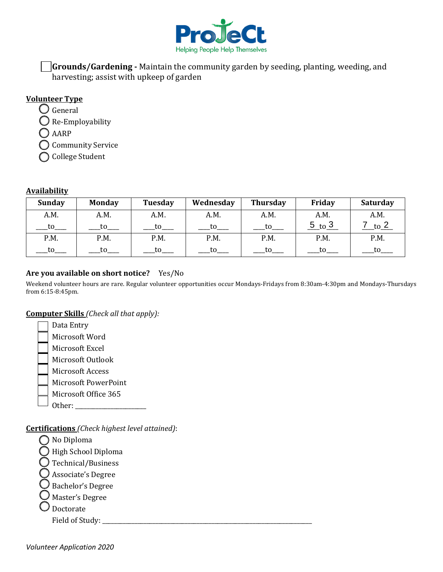

**Grounds/Gardening -** Maintain the community garden by seeding, planting, weeding, and harvesting; assist with upkeep of garden

# **Volunteer Type**

 $\bigcup$  General

 $\bigcirc$  Re-Employability

AARP

Community Service

College Student

# **Availability**

| <b>Sunday</b> | <b>Monday</b> | Tuesday | Wednesday | <b>Thursday</b> | Friday     | <b>Saturday</b> |
|---------------|---------------|---------|-----------|-----------------|------------|-----------------|
| A.M.          | A.M.          | A.M.    | A.M.      | A.M.            | A.M.       | A.M.            |
| to            | to            | to      | tο        | to              | 5<br>_to პ | to ∠            |
| P.M.          | P.M.          | P.M.    | P.M.      | P.M.            | P.M.       | P.M.            |
| to            | t٥            | to      | tο        | to              | to         |                 |

# **Are you available on short notice?** Yes/No

Weekend volunteer hours are rare. Regular volunteer opportunities occur Mondays-Fridays from 8:30am-4:30pm and Mondays-Thursdays from 6:15-8:45pm.

# **Computer Skills** *(Check all that apply):*

Data Entry Microsoft Word Microsoft Excel Microsoft Outlook Microsoft Access Microsoft PowerPoint Microsoft Office 365 Other:

**Certifications** *(Check highest level attained)*:

◯ No Diploma

High School Diploma

Technical/Business

Associate's Degree

 $\bigcirc$  Bachelor's Degree

 $\bigcirc$  Master's Degree

Doctorate

Field of Study: \_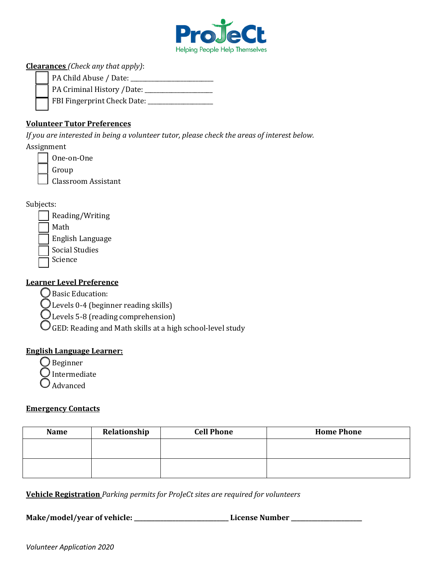

# **Clearances** *(Check any that apply)*:

| PA Child Abuse / Date:             |
|------------------------------------|
| PA Criminal History /Date: _       |
| $\Box$ FBI Fingerprint Check Date: |

# **Volunteer Tutor Preferences**

*If you are interested in being a volunteer tutor, please check the areas of interest below.* Assignment

| One-on-One          |
|---------------------|
| Group               |
| Classroom Assistant |

Subjects:

- Reading/Writing Math English Language
- Social Studies
- Science

# **Learner Level Preference**

Basic Education:

Levels 0-4 (beginner reading skills)

Levels 5-8 (reading comprehension)

 $\bigcirc$  GED: Reading and Math skills at a high school-level study

# **English Language Learner:**

Beginner

 $\bigcup$  Intermediate

Advanced

# **Emergency Contacts**

| <b>Name</b> | Relationship | <b>Cell Phone</b> | <b>Home Phone</b> |
|-------------|--------------|-------------------|-------------------|
|             |              |                   |                   |
|             |              |                   |                   |
|             |              |                   |                   |

**Vehicle Registration** *Parking permits for ProJeCt sites are required for volunteers*

Make/model/year of vehicle: \_\_\_\_\_\_\_\_\_\_\_\_\_\_\_\_\_\_\_\_\_\_\_\_\_\_\_\_\_\_\_\_\_\_License Number \_\_\_\_\_\_\_\_\_\_\_\_\_\_\_\_\_\_\_\_\_\_\_\_\_\_\_\_\_\_\_\_\_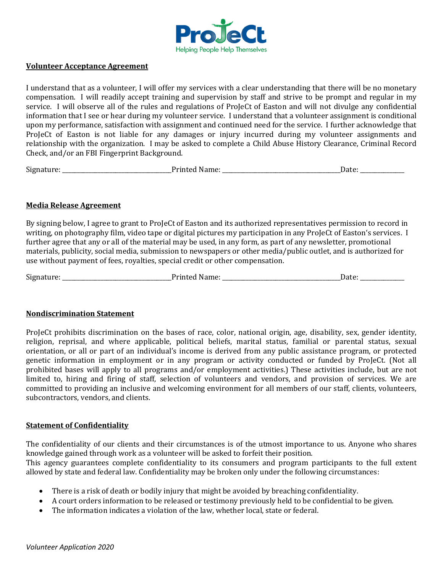

#### **Volunteer Acceptance Agreement**

I understand that as a volunteer, I will offer my services with a clear understanding that there will be no monetary compensation. I will readily accept training and supervision by staff and strive to be prompt and regular in my service. I will observe all of the rules and regulations of ProJeCt of Easton and will not divulge any confidential information that I see or hear during my volunteer service. I understand that a volunteer assignment is conditional upon my performance, satisfaction with assignment and continued need for the service. I further acknowledge that ProJeCt of Easton is not liable for any damages or injury incurred during my volunteer assignments and relationship with the organization. I may be asked to complete a Child Abuse History Clearance, Criminal Record Check, and/or an FBI Fingerprint Background.

| $\sim$<br><b>Sigi</b> | _________ | -- |
|-----------------------|-----------|----|
|-----------------------|-----------|----|

### **Media Release Agreement**

By signing below, I agree to grant to ProJeCt of Easton and its authorized representatives permission to record in writing, on photography film, video tape or digital pictures my participation in any ProJeCt of Easton's services. I further agree that any or all of the material may be used, in any form, as part of any newsletter, promotional materials, publicity, social media, submission to newspapers or other media/public outlet, and is authorized for use without payment of fees, royalties, special credit or other compensation.

Signature: \_\_\_\_\_\_\_\_\_\_\_\_\_\_\_\_\_\_\_\_\_\_\_\_\_\_\_\_\_\_\_\_\_\_\_\_\_Printed Name: \_\_\_\_\_\_\_\_\_\_\_\_\_\_\_\_\_\_\_\_\_\_\_\_\_\_\_\_\_\_\_\_\_\_\_\_\_\_\_\_Date: \_\_\_\_\_\_\_\_\_\_\_\_\_\_\_

### **Nondiscrimination Statement**

ProJeCt prohibits discrimination on the bases of race, color, national origin, age, disability, sex, gender identity, religion, reprisal, and where applicable, political beliefs, marital status, familial or parental status, sexual orientation, or all or part of an individual's income is derived from any public assistance program, or protected genetic information in employment or in any program or activity conducted or funded by ProJeCt. (Not all prohibited bases will apply to all programs and/or employment activities.) These activities include, but are not limited to, hiring and firing of staff, selection of volunteers and vendors, and provision of services. We are committed to providing an inclusive and welcoming environment for all members of our staff, clients, volunteers, subcontractors, vendors, and clients.

### **Statement of Confidentiality**

The confidentiality of our clients and their circumstances is of the utmost importance to us. Anyone who shares knowledge gained through work as a volunteer will be asked to forfeit their position. This agency guarantees complete confidentiality to its consumers and program participants to the full extent allowed by state and federal law. Confidentiality may be broken only under the following circumstances:

- There is a risk of death or bodily injury that might be avoided by breaching confidentiality.
- A court orders information to be released or testimony previously held to be confidential to be given.
- The information indicates a violation of the law, whether local, state or federal.